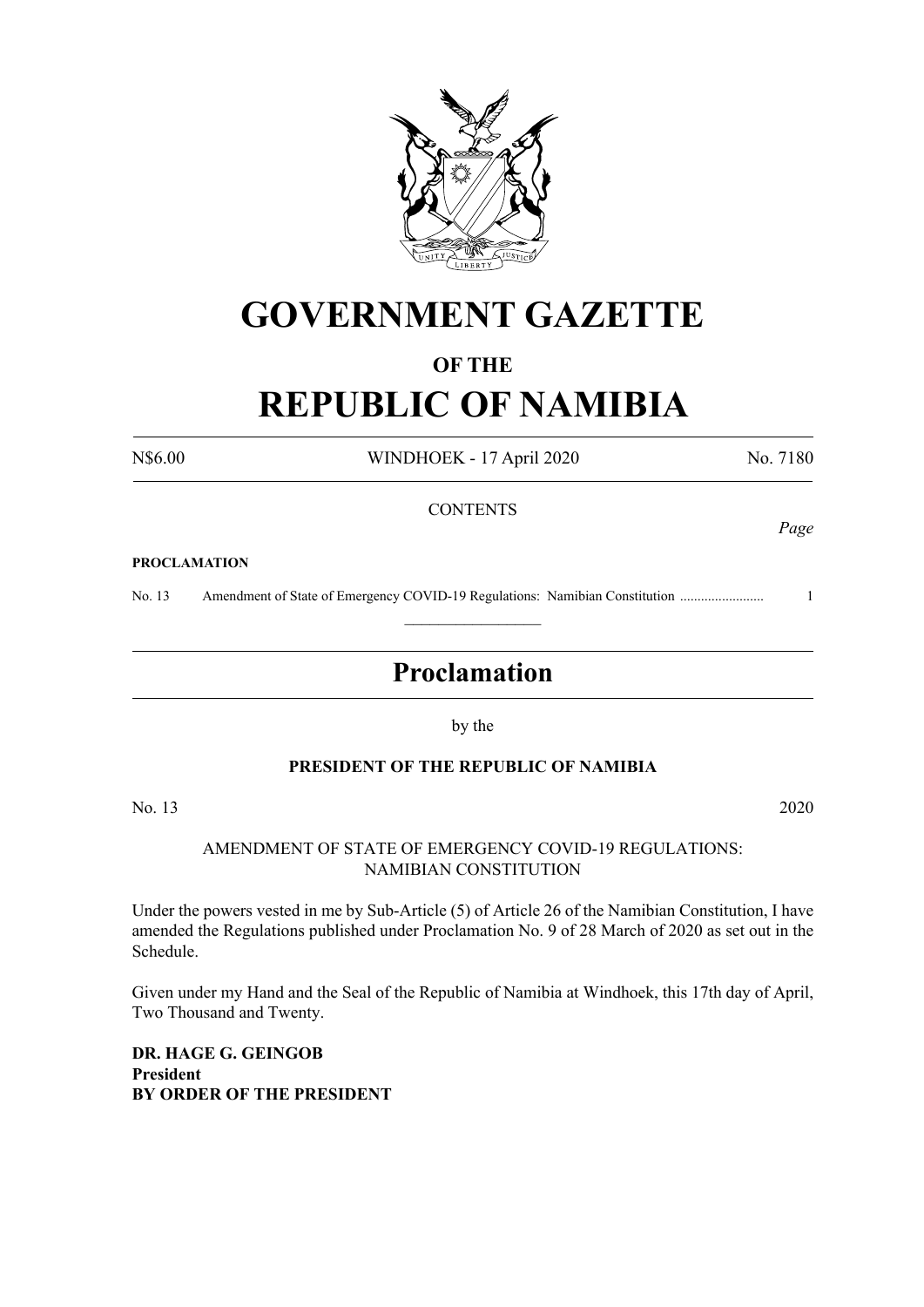

# **GOVERNMENT GAZETTE**

# **OF THE**

# **REPUBLIC OF NAMIBIA**

N\$6.00 WINDHOEK - 17 April 2020 No. 7180

# **CONTENTS**

#### **PROCLAMATION**

No. 13 Amendment of State of Emergency COVID-19 Regulations: Namibian Constitution ........................ 1  $\frac{1}{2}$ 

# **Proclamation**

by the

# **PRESIDENT OF THE REPUBLIC OF NAMIBIA**

No. 13 2020

#### AMENDMENT OF STATE OF EMERGENCY COVID-19 REGULATIONS: NAMIBIAN CONSTITUTION

Under the powers vested in me by Sub-Article (5) of Article 26 of the Namibian Constitution, I have amended the Regulations published under Proclamation No. 9 of 28 March of 2020 as set out in the Schedule.

Given under my Hand and the Seal of the Republic of Namibia at Windhoek, this 17th day of April, Two Thousand and Twenty.

**DR. HAGE G. GEINGOB President BY ORDER OF THE PRESIDENT** *Page*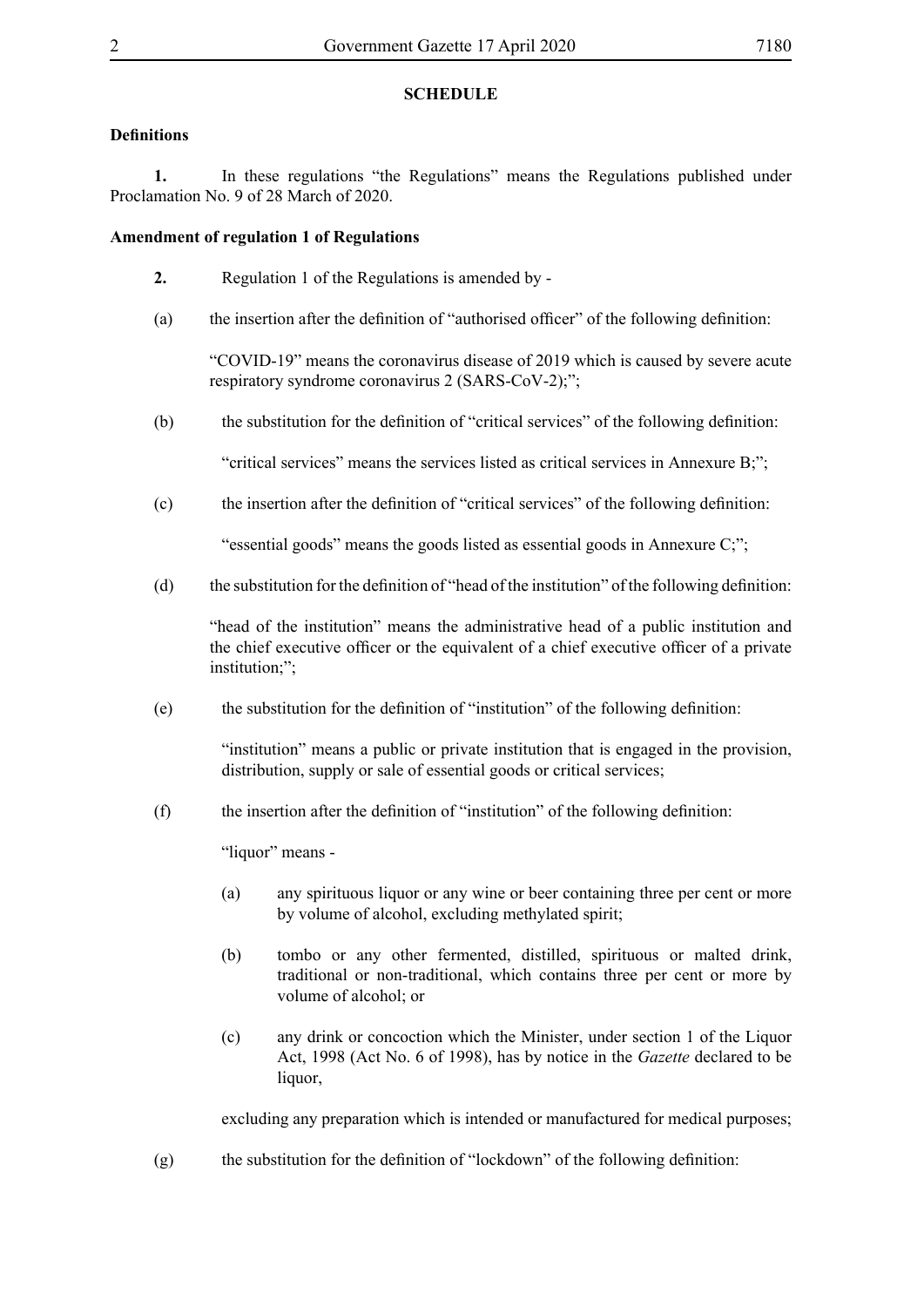# **SCHEDULE**

# **Definitions**

**1.** In these regulations "the Regulations" means the Regulations published under Proclamation No. 9 of 28 March of 2020.

# **Amendment of regulation 1 of Regulations**

- **2.** Regulation 1 of the Regulations is amended by -
- (a) the insertion after the definition of "authorised officer" of the following definition:

"COVID-19" means the coronavirus disease of 2019 which is caused by severe acute respiratory syndrome coronavirus 2 (SARS-CoV-2);";

(b) the substitution for the definition of "critical services" of the following definition:

"critical services" means the services listed as critical services in Annexure B;";

(c) the insertion after the definition of "critical services" of the following definition:

"essential goods" means the goods listed as essential goods in Annexure C;";

(d) the substitution for the definition of "head of the institution" of the following definition:

"head of the institution" means the administrative head of a public institution and the chief executive officer or the equivalent of a chief executive officer of a private institution;";

 $(e)$  the substitution for the definition of "institution" of the following definition:

"institution" means a public or private institution that is engaged in the provision, distribution, supply or sale of essential goods or critical services;

(f) the insertion after the definition of "institution" of the following definition:

"liquor" means -

- (a) any spirituous liquor or any wine or beer containing three per cent or more by volume of alcohol, excluding methylated spirit;
- (b) tombo or any other fermented, distilled, spirituous or malted drink, traditional or non-traditional, which contains three per cent or more by volume of alcohol; or
- (c) any drink or concoction which the Minister, under section 1 of the Liquor Act, 1998 (Act No. 6 of 1998), has by notice in the *Gazette* declared to be liquor,

excluding any preparation which is intended or manufactured for medical purposes;

(g) the substitution for the definition of "lockdown" of the following definition: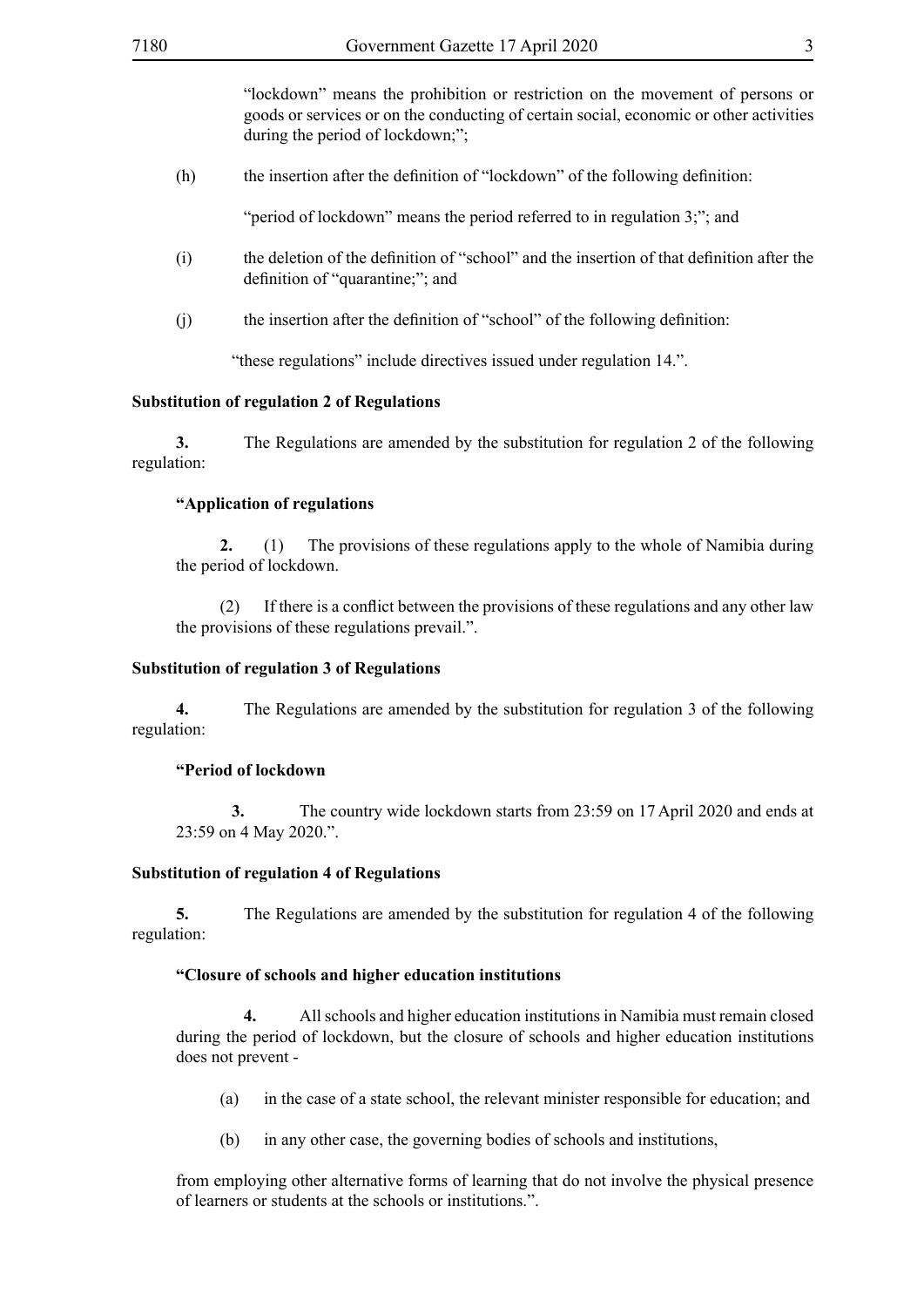"lockdown" means the prohibition or restriction on the movement of persons or goods or services or on the conducting of certain social, economic or other activities during the period of lockdown;";

(h) the insertion after the definition of "lockdown" of the following definition:

"period of lockdown" means the period referred to in regulation 3;"; and

- (i) the deletion of the definition of "school" and the insertion of that definition after the definition of "quarantine;"; and
- $(i)$  the insertion after the definition of "school" of the following definition:

"these regulations" include directives issued under regulation 14.".

#### **Substitution of regulation 2 of Regulations**

**3.** The Regulations are amended by the substitution for regulation 2 of the following regulation:

#### **"Application of regulations**

**2.** (1) The provisions of these regulations apply to the whole of Namibia during the period of lockdown.

(2) If there is a conflict between the provisions of these regulations and any other law the provisions of these regulations prevail.".

#### **Substitution of regulation 3 of Regulations**

**4.** The Regulations are amended by the substitution for regulation 3 of the following regulation:

#### **"Period of lockdown**

**3.** The country wide lockdown starts from 23:59 on 17 April 2020 and ends at 23:59 on 4 May 2020.".

#### **Substitution of regulation 4 of Regulations**

**5.** The Regulations are amended by the substitution for regulation 4 of the following regulation:

#### **"Closure of schools and higher education institutions**

**4.** All schools and higher education institutions in Namibia must remain closed during the period of lockdown, but the closure of schools and higher education institutions does not prevent -

- (a) in the case of a state school, the relevant minister responsible for education; and
- (b) in any other case, the governing bodies of schools and institutions,

from employing other alternative forms of learning that do not involve the physical presence of learners or students at the schools or institutions.".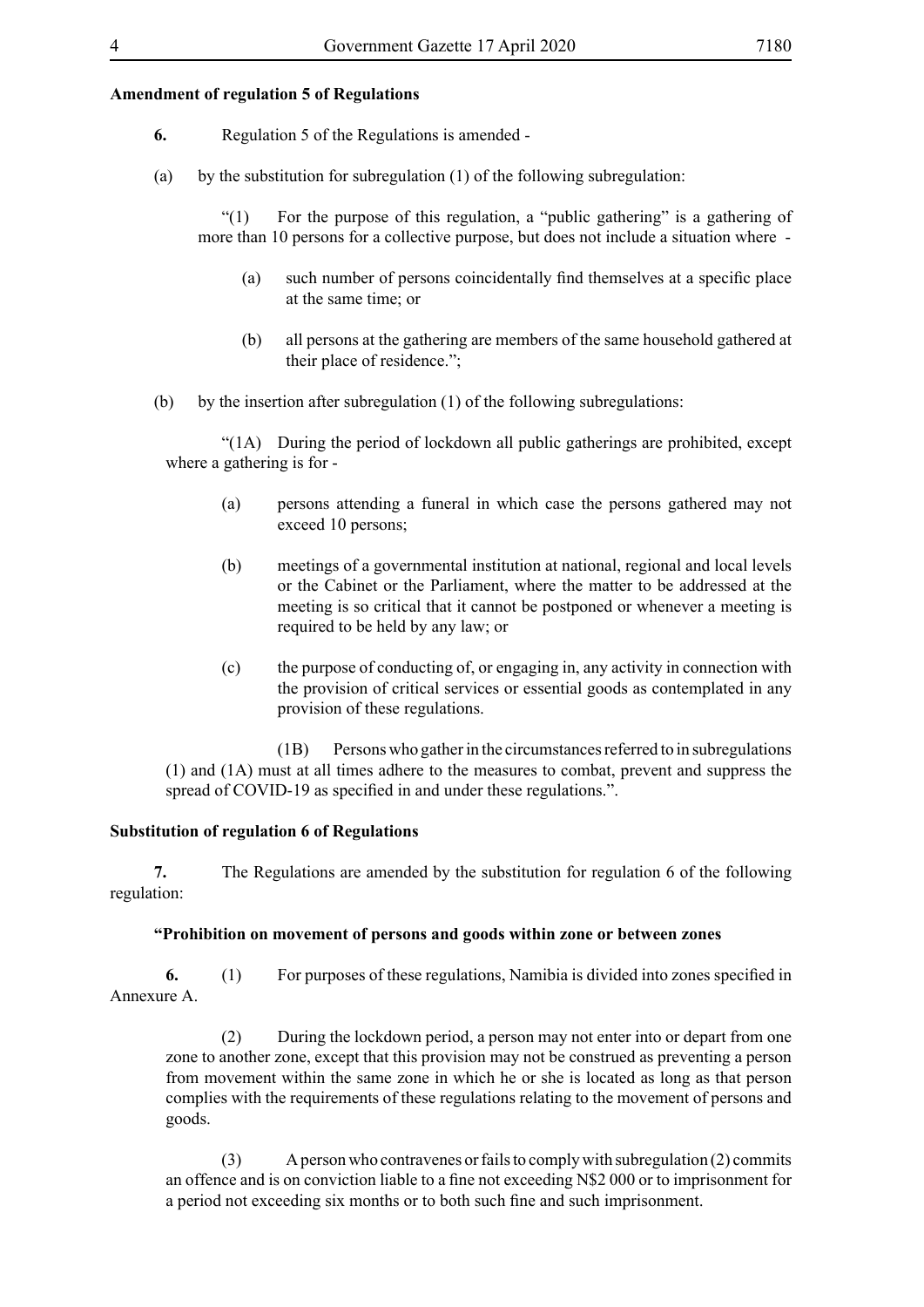#### **Amendment of regulation 5 of Regulations**

- **6.** Regulation 5 of the Regulations is amended -
- (a) by the substitution for subregulation (1) of the following subregulation:

"(1) For the purpose of this regulation, a "public gathering" is a gathering of more than 10 persons for a collective purpose, but does not include a situation where -

- (a) such number of persons coincidentally find themselves at a specific place at the same time; or
- (b) all persons at the gathering are members of the same household gathered at their place of residence.";
- (b) by the insertion after subregulation  $(1)$  of the following subregulations:

"(1A) During the period of lockdown all public gatherings are prohibited, except where a gathering is for -

- (a) persons attending a funeral in which case the persons gathered may not exceed 10 persons;
- (b) meetings of a governmental institution at national, regional and local levels or the Cabinet or the Parliament, where the matter to be addressed at the meeting is so critical that it cannot be postponed or whenever a meeting is required to be held by any law; or
- (c) the purpose of conducting of, or engaging in, any activity in connection with the provision of critical services or essential goods as contemplated in any provision of these regulations.

(1B) Persons who gather in the circumstances referred to in subregulations (1) and (1A) must at all times adhere to the measures to combat, prevent and suppress the spread of COVID-19 as specified in and under these regulations.".

#### **Substitution of regulation 6 of Regulations**

**7.** The Regulations are amended by the substitution for regulation 6 of the following regulation:

#### **"Prohibition on movement of persons and goods within zone or between zones**

**6.** (1) For purposes of these regulations, Namibia is divided into zones specified in Annexure A.

(2) During the lockdown period, a person may not enter into or depart from one zone to another zone, except that this provision may not be construed as preventing a person from movement within the same zone in which he or she is located as long as that person complies with the requirements of these regulations relating to the movement of persons and goods.

(3) A person who contravenes or fails to comply with subregulation (2) commits an offence and is on conviction liable to a fine not exceeding N\$2 000 or to imprisonment for a period not exceeding six months or to both such fine and such imprisonment.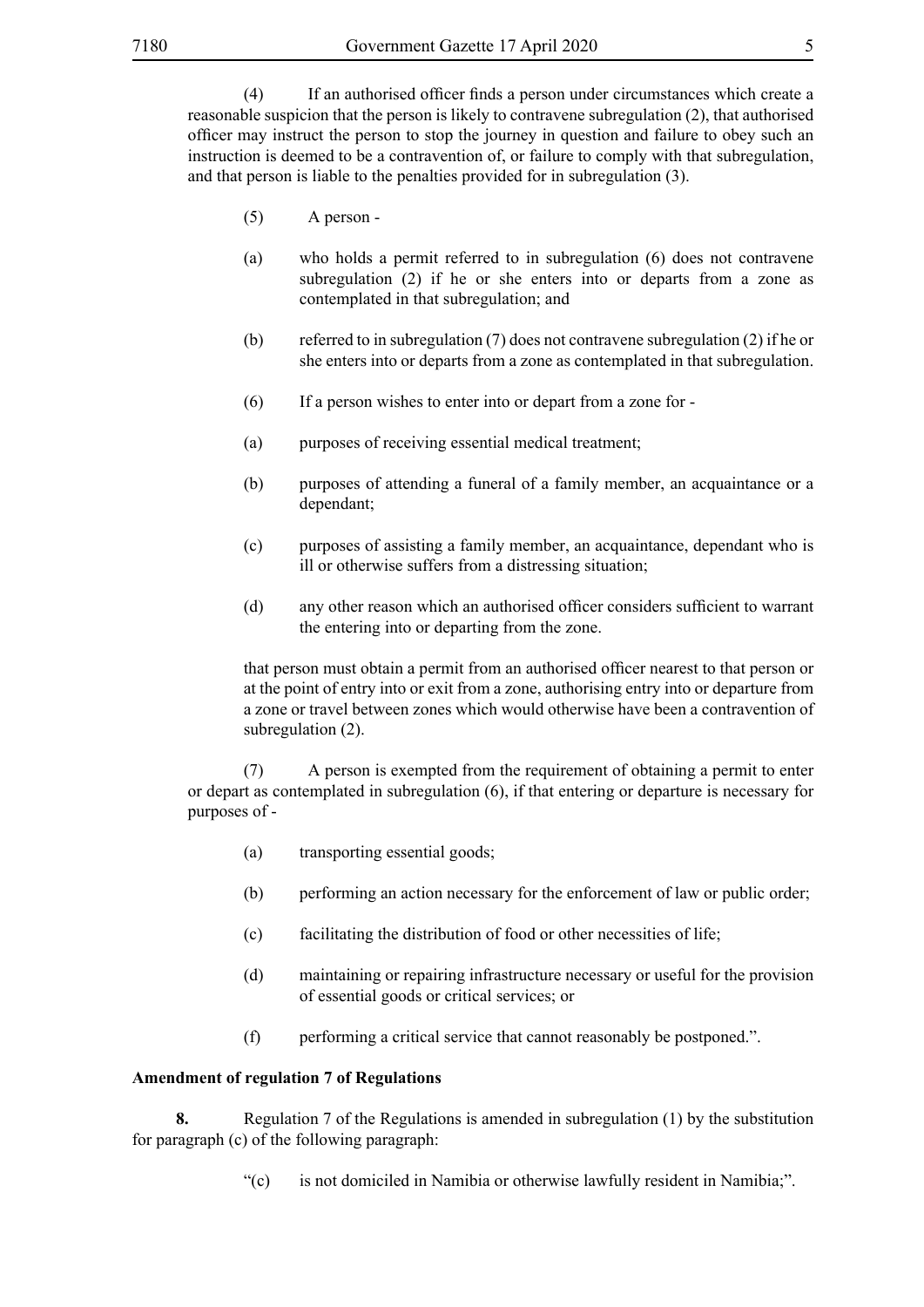(4) If an authorised officer finds a person under circumstances which create a reasonable suspicion that the person is likely to contravene subregulation (2), that authorised officer may instruct the person to stop the journey in question and failure to obey such an instruction is deemed to be a contravention of, or failure to comply with that subregulation, and that person is liable to the penalties provided for in subregulation (3).

- (5) A person -
- (a) who holds a permit referred to in subregulation (6) does not contravene subregulation (2) if he or she enters into or departs from a zone as contemplated in that subregulation; and
- (b) referred to in subregulation (7) does not contravene subregulation (2) if he or she enters into or departs from a zone as contemplated in that subregulation.
- (6) If a person wishes to enter into or depart from a zone for -
- (a) purposes of receiving essential medical treatment;
- (b) purposes of attending a funeral of a family member, an acquaintance or a dependant;
- (c) purposes of assisting a family member, an acquaintance, dependant who is ill or otherwise suffers from a distressing situation;
- (d) any other reason which an authorised officer considers sufficient to warrant the entering into or departing from the zone.

that person must obtain a permit from an authorised officer nearest to that person or at the point of entry into or exit from a zone, authorising entry into or departure from a zone or travel between zones which would otherwise have been a contravention of subregulation  $(2)$ .

(7) A person is exempted from the requirement of obtaining a permit to enter or depart as contemplated in subregulation (6), if that entering or departure is necessary for purposes of -

- (a) transporting essential goods;
- (b) performing an action necessary for the enforcement of law or public order;
- (c) facilitating the distribution of food or other necessities of life;
- (d) maintaining or repairing infrastructure necessary or useful for the provision of essential goods or critical services; or
- (f) performing a critical service that cannot reasonably be postponed.".

#### **Amendment of regulation 7 of Regulations**

**8.** Regulation 7 of the Regulations is amended in subregulation (1) by the substitution for paragraph (c) of the following paragraph:

"(c) is not domiciled in Namibia or otherwise lawfully resident in Namibia;".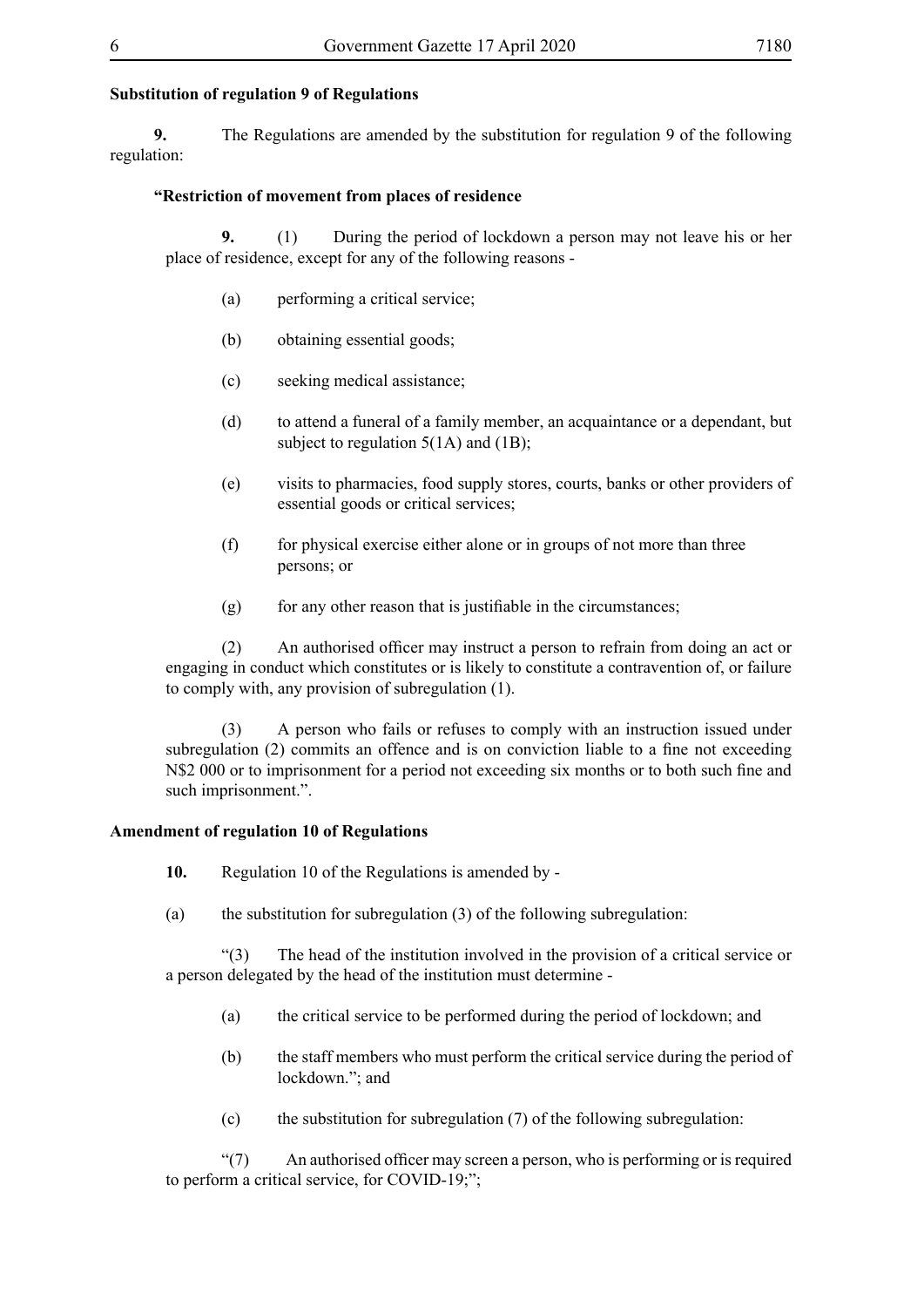#### **Substitution of regulation 9 of Regulations**

**9.** The Regulations are amended by the substitution for regulation 9 of the following regulation:

#### **"Restriction of movement from places of residence**

**9.** (1) During the period of lockdown a person may not leave his or her place of residence, except for any of the following reasons -

- (a) performing a critical service;
- (b) obtaining essential goods;
- (c) seeking medical assistance;
- (d) to attend a funeral of a family member, an acquaintance or a dependant, but subject to regulation  $5(1A)$  and  $(1B)$ ;
- (e) visits to pharmacies, food supply stores, courts, banks or other providers of essential goods or critical services;
- $(f)$  for physical exercise either alone or in groups of not more than three persons; or
- (g) for any other reason that is justifiable in the circumstances;

(2) An authorised officer may instruct a person to refrain from doing an act or engaging in conduct which constitutes or is likely to constitute a contravention of, or failure to comply with, any provision of subregulation (1).

(3) A person who fails or refuses to comply with an instruction issued under subregulation (2) commits an offence and is on conviction liable to a fine not exceeding N\$2 000 or to imprisonment for a period not exceeding six months or to both such fine and such imprisonment.".

#### **Amendment of regulation 10 of Regulations**

- **10.** Regulation 10 of the Regulations is amended by -
- (a) the substitution for subregulation (3) of the following subregulation:

"(3) The head of the institution involved in the provision of a critical service or a person delegated by the head of the institution must determine -

- (a) the critical service to be performed during the period of lockdown; and
- (b) the staff members who must perform the critical service during the period of lockdown."; and
- (c) the substitution for subregulation (7) of the following subregulation:

 $\degree$ (7) An authorised officer may screen a person, who is performing or is required to perform a critical service, for COVID-19;";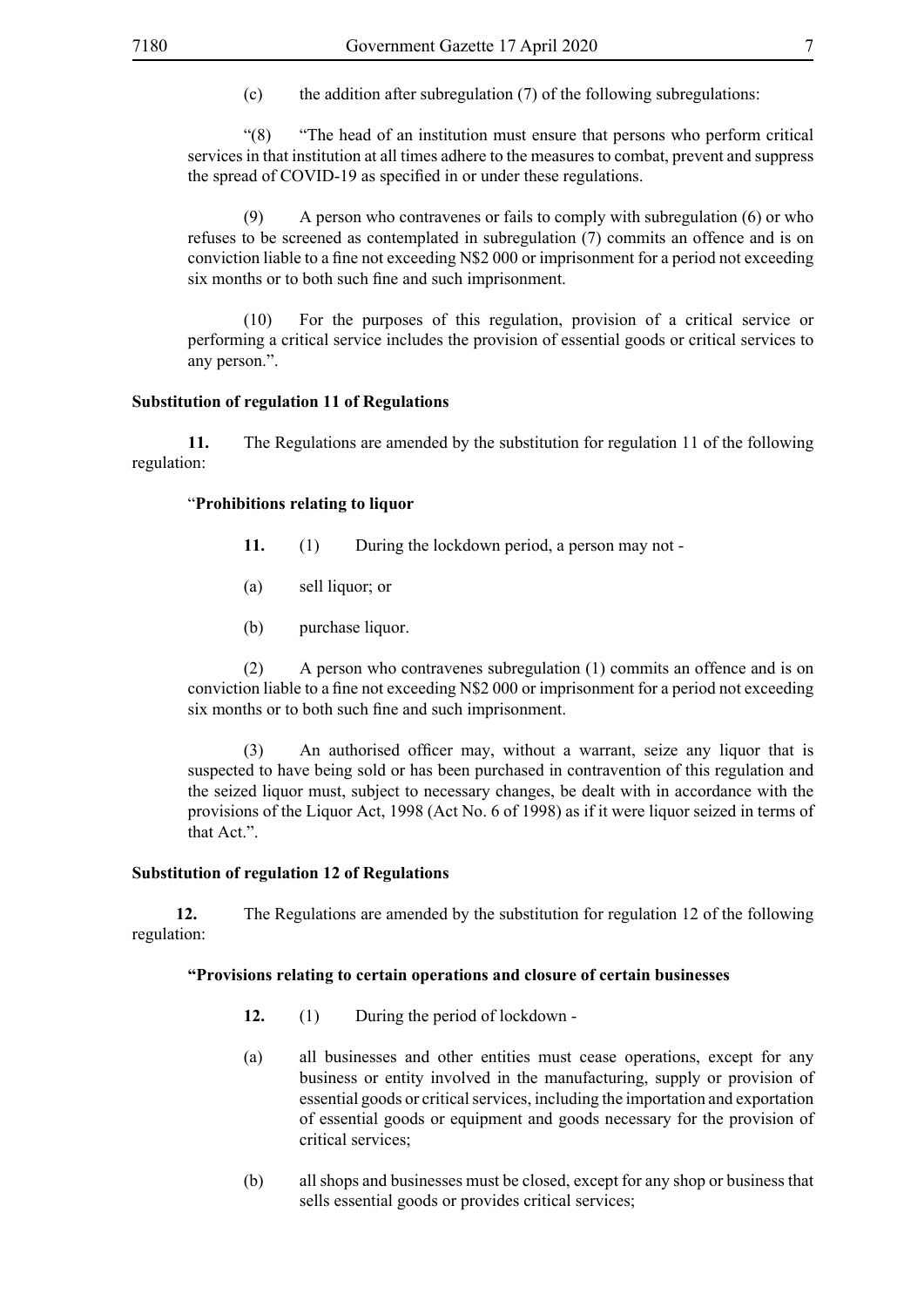(c) the addition after subregulation (7) of the following subregulations:

"(8) "The head of an institution must ensure that persons who perform critical services in that institution at all times adhere to the measures to combat, prevent and suppress the spread of COVID-19 as specified in or under these regulations.

(9) A person who contravenes or fails to comply with subregulation (6) or who refuses to be screened as contemplated in subregulation (7) commits an offence and is on conviction liable to a fine not exceeding N\$2 000 or imprisonment for a period not exceeding six months or to both such fine and such imprisonment.

(10) For the purposes of this regulation, provision of a critical service or performing a critical service includes the provision of essential goods or critical services to any person.".

#### **Substitution of regulation 11 of Regulations**

**11.** The Regulations are amended by the substitution for regulation 11 of the following regulation:

#### "**Prohibitions relating to liquor**

- **11.** (1) During the lockdown period, a person may not -
- (a) sell liquor; or
- (b) purchase liquor.

(2) A person who contravenes subregulation (1) commits an offence and is on conviction liable to a fine not exceeding N\$2 000 or imprisonment for a period not exceeding six months or to both such fine and such imprisonment.

(3) An authorised officer may, without a warrant, seize any liquor that is suspected to have being sold or has been purchased in contravention of this regulation and the seized liquor must, subject to necessary changes, be dealt with in accordance with the provisions of the Liquor Act, 1998 (Act No. 6 of 1998) as if it were liquor seized in terms of that Act.".

# **Substitution of regulation 12 of Regulations**

**12.** The Regulations are amended by the substitution for regulation 12 of the following regulation:

#### **"Provisions relating to certain operations and closure of certain businesses**

- **12.** (1) During the period of lockdown -
- (a) all businesses and other entities must cease operations, except for any business or entity involved in the manufacturing, supply or provision of essential goods or critical services, including the importation and exportation of essential goods or equipment and goods necessary for the provision of critical services;
- (b) all shops and businesses must be closed, except for any shop or business that sells essential goods or provides critical services;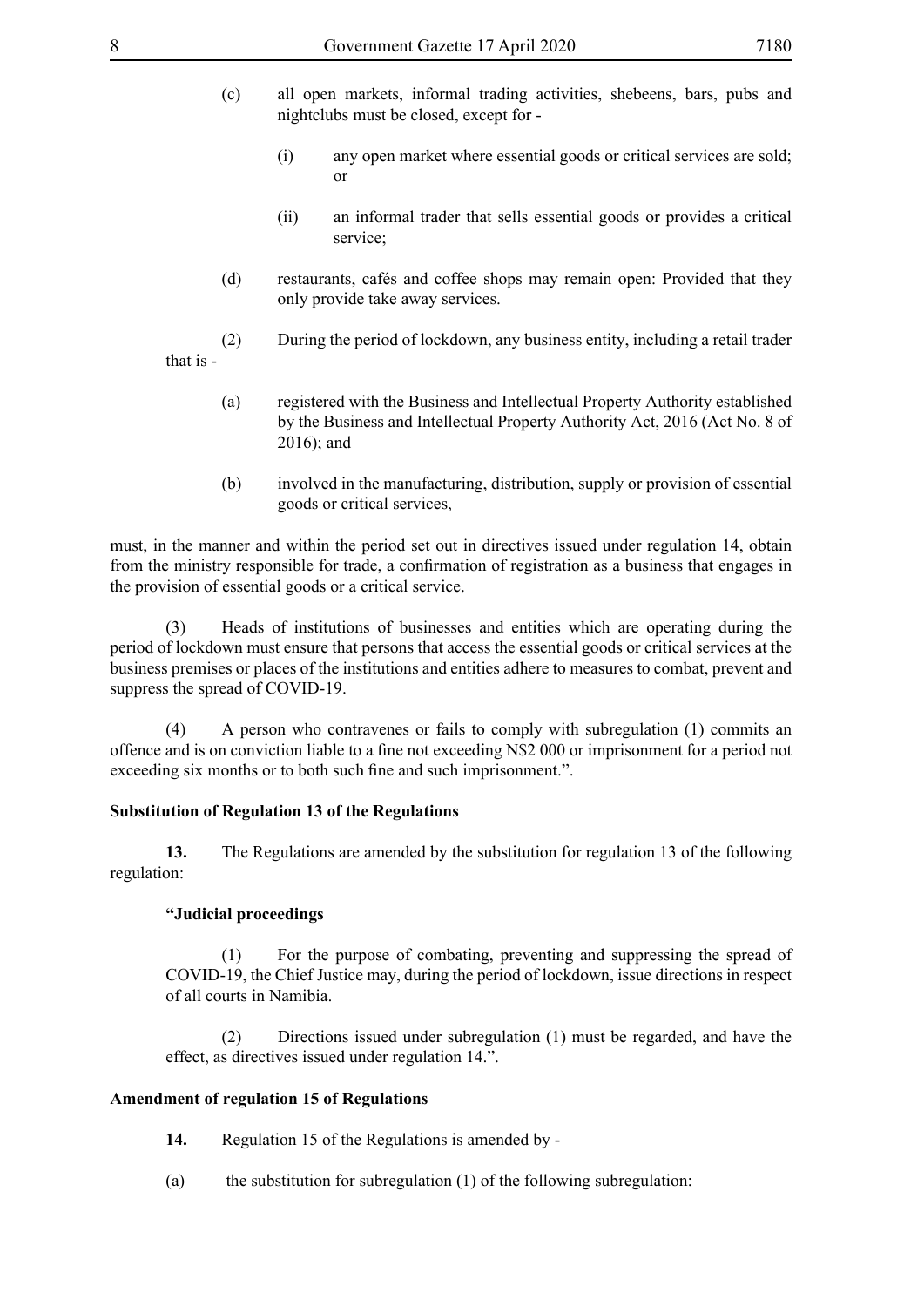- (c) all open markets, informal trading activities, shebeens, bars, pubs and nightclubs must be closed, except for -
	- (i) any open market where essential goods or critical services are sold; or
	- (ii) an informal trader that sells essential goods or provides a critical service;
- (d) restaurants, cafés and coffee shops may remain open: Provided that they only provide take away services.
- (2) During the period of lockdown, any business entity, including a retail trader that is -
	- (a) registered with the Business and Intellectual Property Authority established by the Business and Intellectual Property Authority Act, 2016 (Act No. 8 of 2016); and
	- (b) involved in the manufacturing, distribution, supply or provision of essential goods or critical services,

must, in the manner and within the period set out in directives issued under regulation 14, obtain from the ministry responsible for trade, a confirmation of registration as a business that engages in the provision of essential goods or a critical service.

(3) Heads of institutions of businesses and entities which are operating during the period of lockdown must ensure that persons that access the essential goods or critical services at the business premises or places of the institutions and entities adhere to measures to combat, prevent and suppress the spread of COVID-19.

(4) A person who contravenes or fails to comply with subregulation (1) commits an offence and is on conviction liable to a fine not exceeding N\$2 000 or imprisonment for a period not exceeding six months or to both such fine and such imprisonment.".

#### **Substitution of Regulation 13 of the Regulations**

**13.** The Regulations are amended by the substitution for regulation 13 of the following regulation:

#### **"Judicial proceedings**

(1) For the purpose of combating, preventing and suppressing the spread of COVID-19, the Chief Justice may, during the period of lockdown, issue directions in respect of all courts in Namibia.

(2) Directions issued under subregulation (1) must be regarded, and have the effect, as directives issued under regulation 14.".

#### **Amendment of regulation 15 of Regulations**

- **14.** Regulation 15 of the Regulations is amended by -
- (a) the substitution for subregulation  $(1)$  of the following subregulation: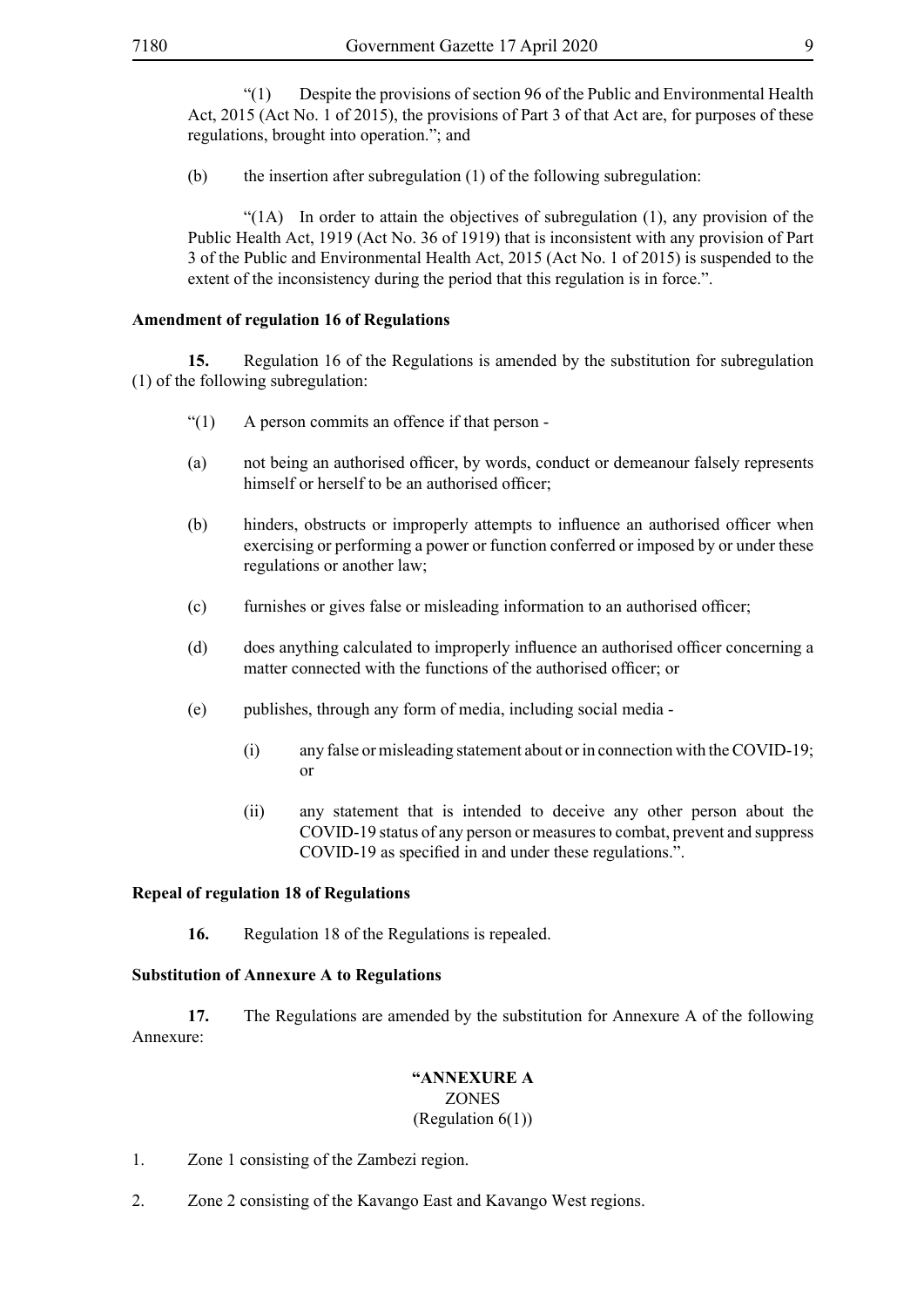"(1) Despite the provisions of section 96 of the Public and Environmental Health Act, 2015 (Act No. 1 of 2015), the provisions of Part 3 of that Act are, for purposes of these regulations, brought into operation."; and

(b) the insertion after subregulation (1) of the following subregulation:

"(1A) In order to attain the objectives of subregulation (1), any provision of the Public Health Act, 1919 (Act No. 36 of 1919) that is inconsistent with any provision of Part 3 of the Public and Environmental Health Act, 2015 (Act No. 1 of 2015) is suspended to the extent of the inconsistency during the period that this regulation is in force.".

#### **Amendment of regulation 16 of Regulations**

**15.** Regulation 16 of the Regulations is amended by the substitution for subregulation (1) of the following subregulation:

- $\lq(1)$  A person commits an offence if that person -
- (a) not being an authorised officer, by words, conduct or demeanour falsely represents himself or herself to be an authorised officer;
- (b) hinders, obstructs or improperly attempts to influence an authorised officer when exercising or performing a power or function conferred or imposed by or under these regulations or another law;
- (c) furnishes or gives false or misleading information to an authorised officer;
- (d) does anything calculated to improperly influence an authorised officer concerning a matter connected with the functions of the authorised officer; or
- (e) publishes, through any form of media, including social media
	- (i) any false or misleading statement about or in connection with the COVID-19; or
	- (ii) any statement that is intended to deceive any other person about the COVID-19 status of any person or measures to combat, prevent and suppress COVID-19 as specified in and under these regulations.".

#### **Repeal of regulation 18 of Regulations**

**16.** Regulation 18 of the Regulations is repealed.

#### **Substitution of Annexure A to Regulations**

**17.** The Regulations are amended by the substitution for Annexure A of the following Annexure:

#### **"ANNEXURE A**

#### ZONES

# (Regulation 6(1))

- 1. Zone 1 consisting of the Zambezi region.
- 2. Zone 2 consisting of the Kavango East and Kavango West regions.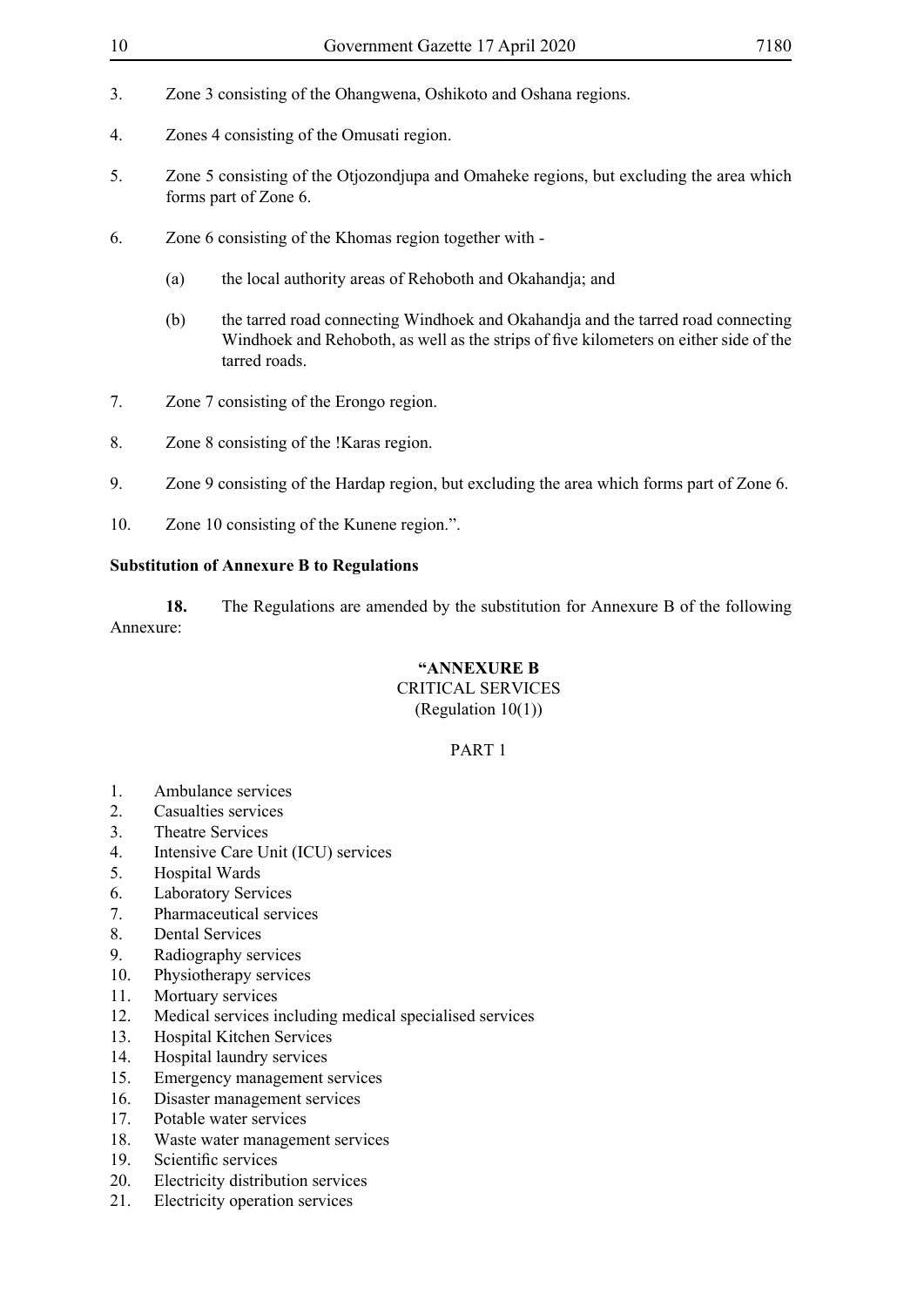- 
- 3. Zone 3 consisting of the Ohangwena, Oshikoto and Oshana regions.
- 4. Zones 4 consisting of the Omusati region.
- 5. Zone 5 consisting of the Otjozondjupa and Omaheke regions, but excluding the area which forms part of Zone 6.
- 6. Zone 6 consisting of the Khomas region together with
	- (a) the local authority areas of Rehoboth and Okahandja; and
	- (b) the tarred road connecting Windhoek and Okahandja and the tarred road connecting Windhoek and Rehoboth, as well as the strips of five kilometers on either side of the tarred roads.
- 7. Zone 7 consisting of the Erongo region.
- 8. Zone 8 consisting of the !Karas region.
- 9. Zone 9 consisting of the Hardap region, but excluding the area which forms part of Zone 6.
- 10. Zone 10 consisting of the Kunene region.".

# **Substitution of Annexure B to Regulations**

**18.** The Regulations are amended by the substitution for Annexure B of the following Annexure:

# **"ANNEXURE B**

# CRITICAL SERVICES

# (Regulation 10(1))

# PART 1

- 1. Ambulance services
- 2. Casualties services
- 3. Theatre Services
- 4. Intensive Care Unit (ICU) services
- 5. Hospital Wards
- 6. Laboratory Services
- 7. Pharmaceutical services
- 8. Dental Services
- 9. Radiography services
- 10. Physiotherapy services
- 11. Mortuary services
- 12. Medical services including medical specialised services
- 13. Hospital Kitchen Services
- 14. Hospital laundry services
- 15. Emergency management services
- 16. Disaster management services
- 17. Potable water services
- 18. Waste water management services
- 19. Scientific services
- 20. Electricity distribution services
- 21. Electricity operation services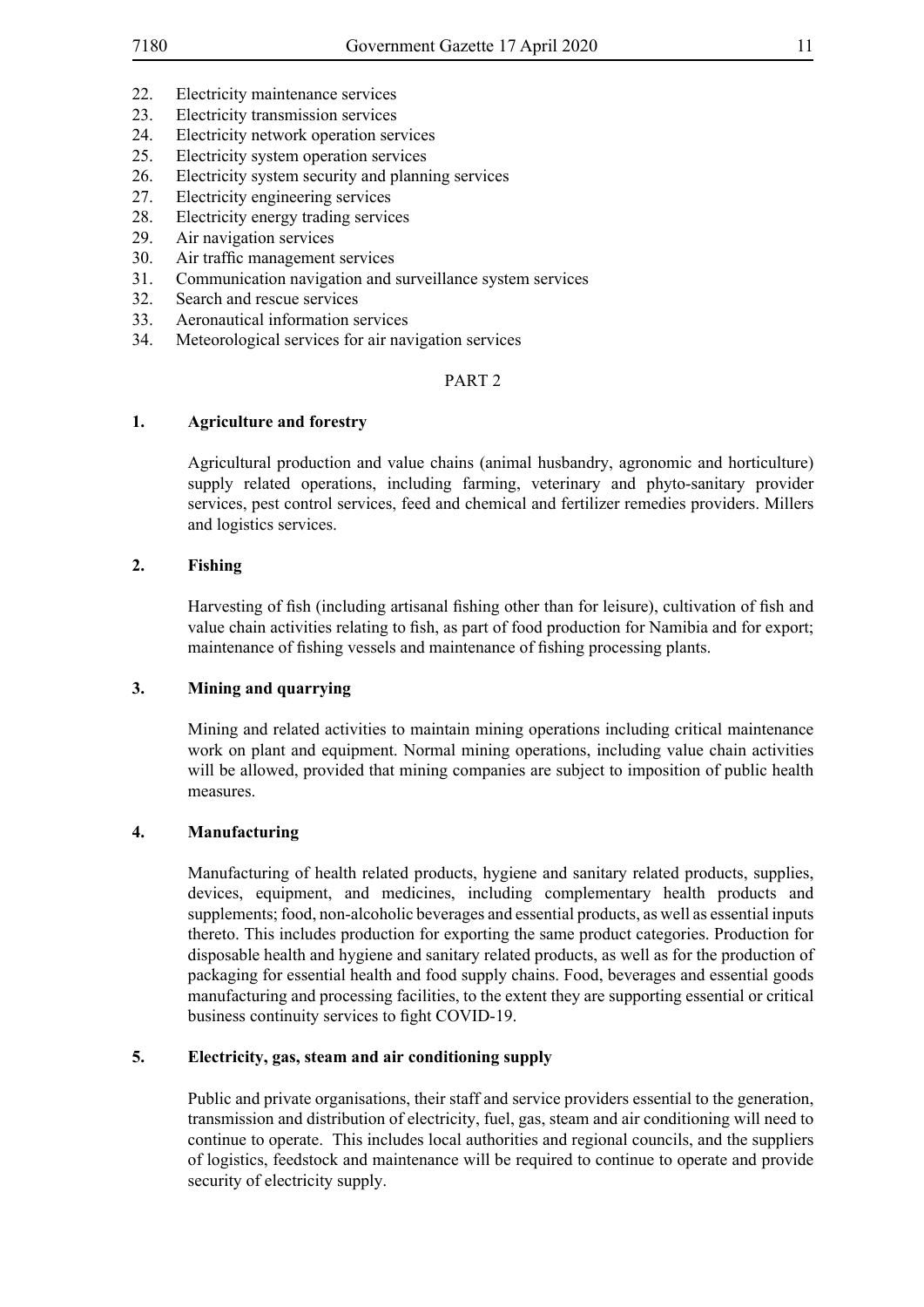- 22. Electricity maintenance services
- 23. Electricity transmission services
- 24. Electricity network operation services
- 25. Electricity system operation services
- 26. Electricity system security and planning services
- 27. Electricity engineering services
- 28. Electricity energy trading services
- 29. Air navigation services
- 30. Air traffic management services
- 31. Communication navigation and surveillance system services
- 32. Search and rescue services
- 33. Aeronautical information services
- 34. Meteorological services for air navigation services

#### PART 2

#### **1. Agriculture and forestry**

Agricultural production and value chains (animal husbandry, agronomic and horticulture) supply related operations, including farming, veterinary and phyto-sanitary provider services, pest control services, feed and chemical and fertilizer remedies providers. Millers and logistics services.

#### **2. Fishing**

Harvesting of fish (including artisanal fishing other than for leisure), cultivation of fish and value chain activities relating to fish, as part of food production for Namibia and for export; maintenance of fishing vessels and maintenance of fishing processing plants.

# **3. Mining and quarrying**

Mining and related activities to maintain mining operations including critical maintenance work on plant and equipment. Normal mining operations, including value chain activities will be allowed, provided that mining companies are subject to imposition of public health measures.

#### **4. Manufacturing**

Manufacturing of health related products, hygiene and sanitary related products, supplies, devices, equipment, and medicines, including complementary health products and supplements; food, non-alcoholic beverages and essential products, as well as essential inputs thereto. This includes production for exporting the same product categories. Production for disposable health and hygiene and sanitary related products, as well as for the production of packaging for essential health and food supply chains. Food, beverages and essential goods manufacturing and processing facilities, to the extent they are supporting essential or critical business continuity services to fight COVID-19.

# **5. Electricity, gas, steam and air conditioning supply**

Public and private organisations, their staff and service providers essential to the generation, transmission and distribution of electricity, fuel, gas, steam and air conditioning will need to continue to operate. This includes local authorities and regional councils, and the suppliers of logistics, feedstock and maintenance will be required to continue to operate and provide security of electricity supply.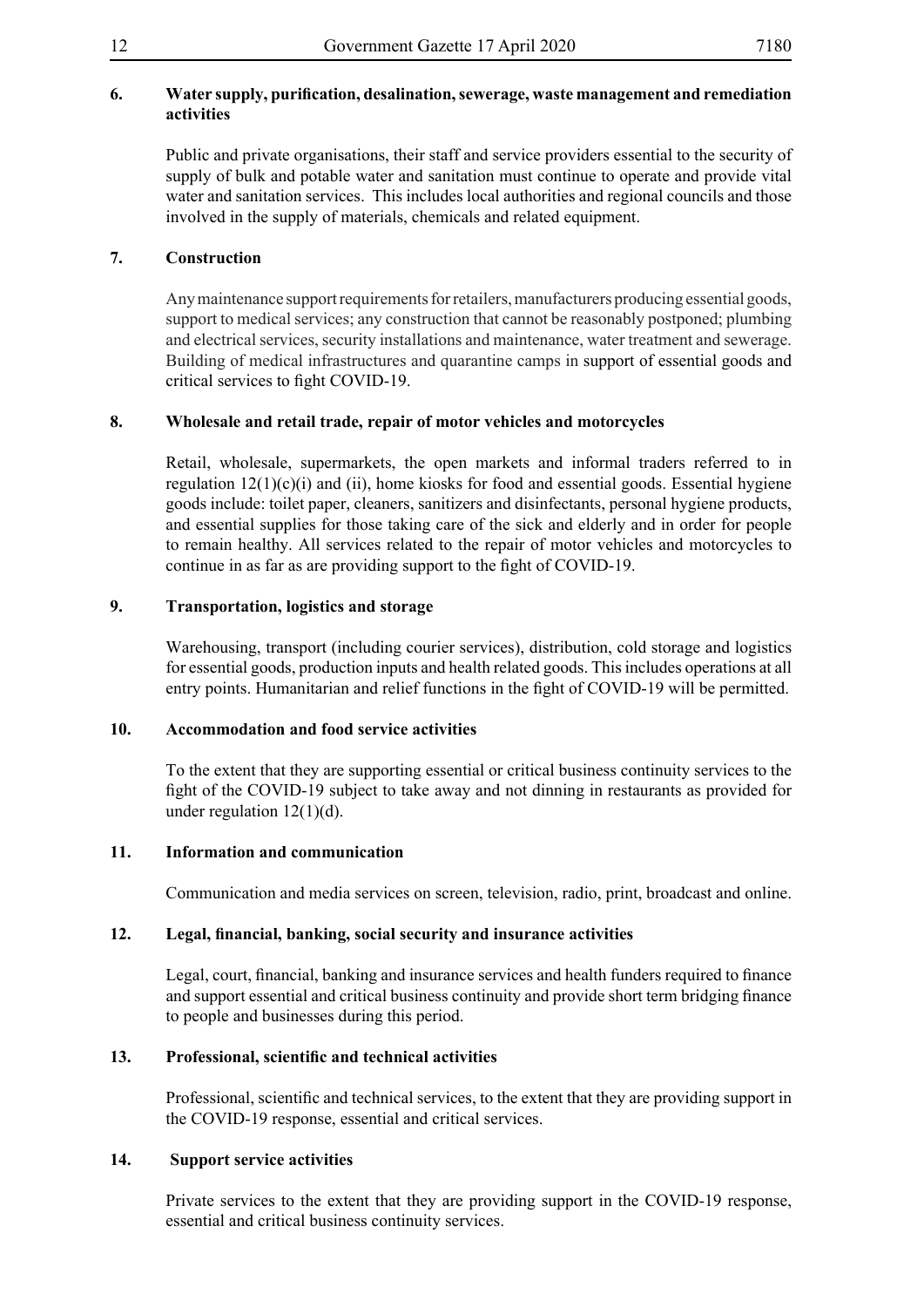# **6. Water supply, purification, desalination,sewerage, waste management and remediation activities**

Public and private organisations, their staff and service providers essential to the security of supply of bulk and potable water and sanitation must continue to operate and provide vital water and sanitation services. This includes local authorities and regional councils and those involved in the supply of materials, chemicals and related equipment.

# **7. Construction**

Any maintenance support requirements for retailers, manufacturers producing essential goods, support to medical services; any construction that cannot be reasonably postponed; plumbing and electrical services, security installations and maintenance, water treatment and sewerage. Building of medical infrastructures and quarantine camps in support of essential goods and critical services to fight COVID-19.

# **8. Wholesale and retail trade, repair of motor vehicles and motorcycles**

Retail, wholesale, supermarkets, the open markets and informal traders referred to in regulation  $12(1)(c)(i)$  and (ii), home kiosks for food and essential goods. Essential hygiene goods include: toilet paper, cleaners, sanitizers and disinfectants, personal hygiene products, and essential supplies for those taking care of the sick and elderly and in order for people to remain healthy. All services related to the repair of motor vehicles and motorcycles to continue in as far as are providing support to the fight of COVID-19.

# **9. Transportation, logistics and storage**

Warehousing, transport (including courier services), distribution, cold storage and logistics for essential goods, production inputs and health related goods. This includes operations at all entry points. Humanitarian and relief functions in the fight of COVID-19 will be permitted.

# **10. Accommodation and food service activities**

To the extent that they are supporting essential or critical business continuity services to the fight of the COVID-19 subject to take away and not dinning in restaurants as provided for under regulation  $12(1)(d)$ .

# **11. Information and communication**

Communication and media services on screen, television, radio, print, broadcast and online.

# **12. Legal, financial, banking, social security and insurance activities**

Legal, court, financial, banking and insurance services and health funders required to finance and support essential and critical business continuity and provide short term bridging finance to people and businesses during this period.

# **13. Professional, scientific and technical activities**

Professional, scientific and technical services, to the extent that they are providing support in the COVID-19 response, essential and critical services.

# **14. Support service activities**

Private services to the extent that they are providing support in the COVID-19 response, essential and critical business continuity services.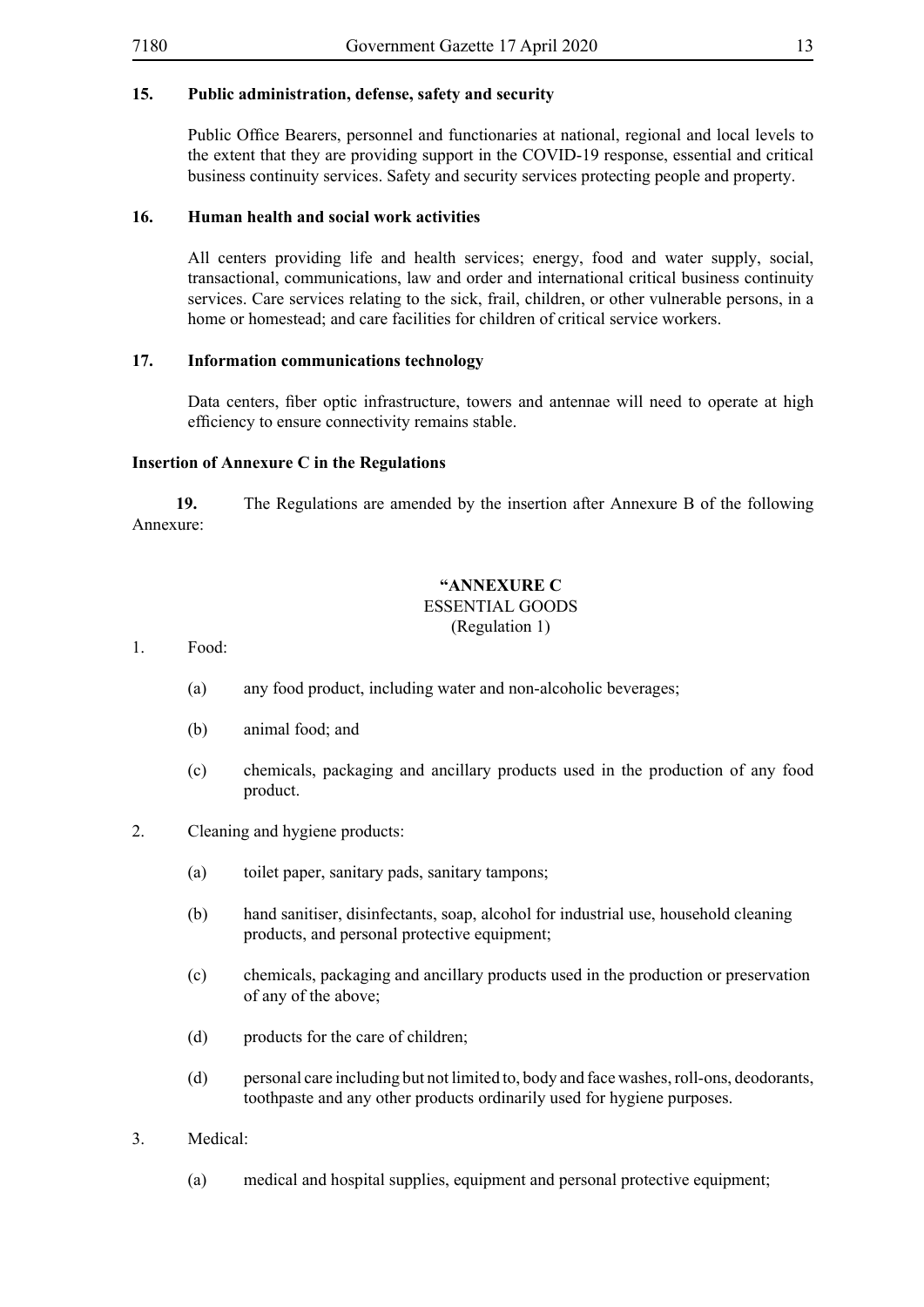# **15. Public administration, defense, safety and security**

Public Office Bearers, personnel and functionaries at national, regional and local levels to the extent that they are providing support in the COVID-19 response, essential and critical business continuity services. Safety and security services protecting people and property.

#### **16. Human health and social work activities**

All centers providing life and health services; energy, food and water supply, social, transactional, communications, law and order and international critical business continuity services. Care services relating to the sick, frail, children, or other vulnerable persons, in a home or homestead; and care facilities for children of critical service workers.

#### **17. Information communications technology**

Data centers, fiber optic infrastructure, towers and antennae will need to operate at high efficiency to ensure connectivity remains stable.

#### **Insertion of Annexure C in the Regulations**

**19.** The Regulations are amended by the insertion after Annexure B of the following Annexure:

#### **"ANNEXURE C** ESSENTIAL GOODS (Regulation 1)

1. Food:

- (a) any food product, including water and non-alcoholic beverages;
- (b) animal food; and
- (c) chemicals, packaging and ancillary products used in the production of any food product.
- 2. Cleaning and hygiene products:
	- (a) toilet paper, sanitary pads, sanitary tampons;
	- (b) hand sanitiser, disinfectants, soap, alcohol for industrial use, household cleaning products, and personal protective equipment;
	- (c) chemicals, packaging and ancillary products used in the production or preservation of any of the above;
	- (d) products for the care of children;
	- (d) personal care including but not limited to, body and face washes, roll-ons, deodorants, toothpaste and any other products ordinarily used for hygiene purposes.
- 3. Medical:
	- (a) medical and hospital supplies, equipment and personal protective equipment;